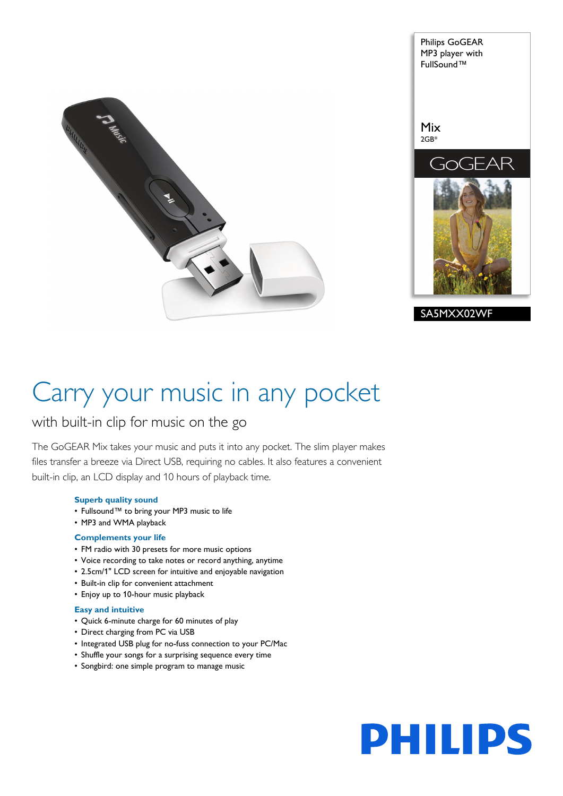

Philips GoGEAR MP3 player with FullSound™ Mix 2GB\* -AR  $\neg$ H SA5MXX02WF

# Carry your music in any pocket

# with built-in clip for music on the go

The GoGEAR Mix takes your music and puts it into any pocket. The slim player makes files transfer a breeze via Direct USB, requiring no cables. It also features a convenient built-in clip, an LCD display and 10 hours of playback time.

# **Superb quality sound**

- Fullsound™ to bring your MP3 music to life
- MP3 and WMA playback

# **Complements your life**

- FM radio with 30 presets for more music options
- Voice recording to take notes or record anything, anytime
- 2.5cm/1" LCD screen for intuitive and enjoyable navigation
- Built-in clip for convenient attachment
- Enjoy up to 10-hour music playback

# **Easy and intuitive**

- Quick 6-minute charge for 60 minutes of play
- Direct charging from PC via USB
- Integrated USB plug for no-fuss connection to your PC/Mac
- Shuffle your songs for a surprising sequence every time
- Songbird: one simple program to manage music

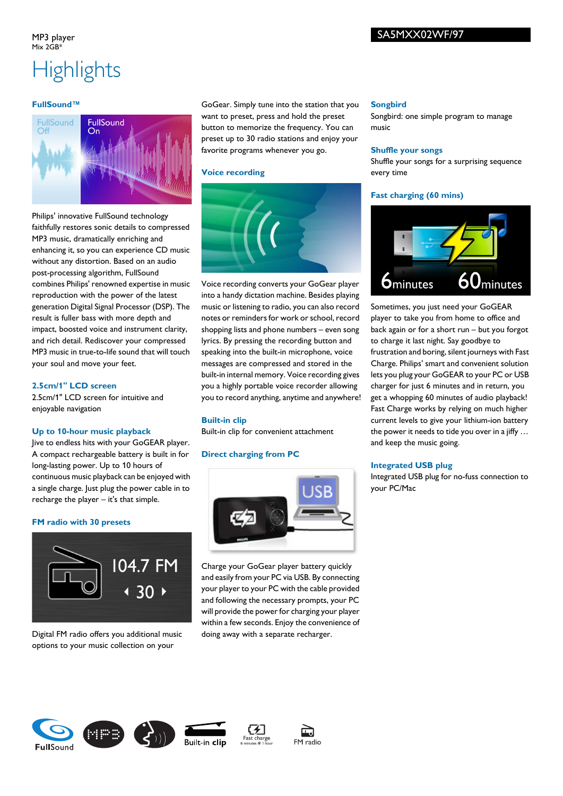# SA5MXX02WF/97

### MP3 player  $Mix 2GR*$

# **Highlights**

### **FullSound™**



Philips' innovative FullSound technology faithfully restores sonic details to compressed MP3 music, dramatically enriching and enhancing it, so you can experience CD music without any distortion. Based on an audio post-processing algorithm, FullSound combines Philips' renowned expertise in music reproduction with the power of the latest generation Digital Signal Processor (DSP). The result is fuller bass with more depth and impact, boosted voice and instrument clarity, and rich detail. Rediscover your compressed MP3 music in true-to-life sound that will touch your soul and move your feet.

### **2.5cm/1" LCD screen**

2.5cm/1" LCD screen for intuitive and enjoyable navigation

### **Up to 10-hour music playback**

Jive to endless hits with your GoGEAR player. A compact rechargeable battery is built in for long-lasting power. Up to 10 hours of continuous music playback can be enjoyed with a single charge. Just plug the power cable in to recharge the player – it's that simple.

### **FM radio with 30 presets**



Digital FM radio offers you additional music options to your music collection on your

GoGear. Simply tune into the station that you want to preset, press and hold the preset button to memorize the frequency. You can preset up to 30 radio stations and enjoy your favorite programs whenever you go.

### **Voice recording**



Voice recording converts your GoGear player into a handy dictation machine. Besides playing music or listening to radio, you can also record notes or reminders for work or school, record shopping lists and phone numbers – even song lyrics. By pressing the recording button and speaking into the built-in microphone, voice messages are compressed and stored in the built-in internal memory. Voice recording gives you a highly portable voice recorder allowing you to record anything, anytime and anywhere!

### **Built-in clip**

Built-in clip for convenient attachment

### **Direct charging from PC**



Charge your GoGear player battery quickly and easily from your PC via USB. By connecting your player to your PC with the cable provided and following the necessary prompts, your PC will provide the power for charging your player within a few seconds. Enjoy the convenience of doing away with a separate recharger.

### **Songbird**

Songbird: one simple program to manage music

### **Shuffle your songs**

Shuffle your songs for a surprising sequence every time

### **Fast charging (60 mins)**



Sometimes, you just need your GoGEAR player to take you from home to office and back again or for a short run – but you forgot to charge it last night. Say goodbye to frustration and boring, silent journeys with Fast Charge. Philips' smart and convenient solution lets you plug your GoGEAR to your PC or USB charger for just 6 minutes and in return, you get a whopping 60 minutes of audio playback! Fast Charge works by relying on much higher current levels to give your lithium-ion battery the power it needs to tide you over in a jiffy … and keep the music going.

### **Integrated USB plug**

Integrated USB plug for no-fuss connection to your PC/Mac